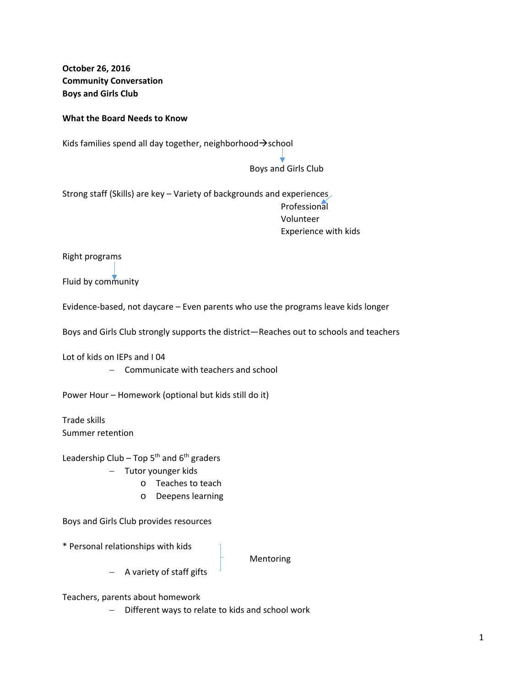**October 26, 2016 Community Conversation Boys and Girls Club**

## **What the Board Needs to Know**

Kids families spend all day together, neighborhood $\rightarrow$ school

the contract of the contract of the contract of the contract of the contract of the contract of the contract of

## Boys and Girls Club

Strong staff (Skills) are key – Variety of backgrounds and experiences Professional Volunteer Experience with kids

Right programs

Fluid by community

Evidence‐based, not daycare – Even parents who use the programs leave kids longer

Boys and Girls Club strongly supports the district—Reaches out to schools and teachers

Lot of kids on IEPs and I 04

- Communicate with teachers and school

Power Hour – Homework (optional but kids still do it)

Trade skills Summer retention

Leadership Club – Top  $5<sup>th</sup>$  and  $6<sup>th</sup>$  graders

- Tutor younger kids
	- o Teaches to teach
	- o Deepens learning

Boys and Girls Club provides resources

\* Personal relationships with kids

Mentoring

- A variety of staff gifts

Teachers, parents about homework

- Different ways to relate to kids and school work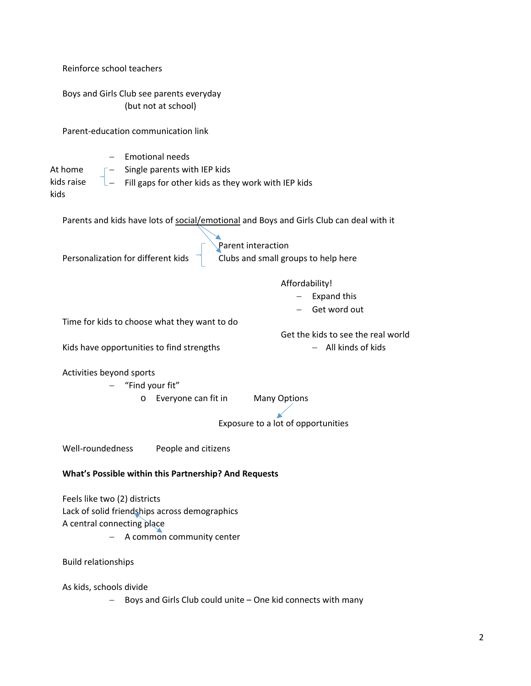| Reinforce school teachers                                                                                                                      |
|------------------------------------------------------------------------------------------------------------------------------------------------|
| Boys and Girls Club see parents everyday<br>(but not at school)                                                                                |
| Parent-education communication link                                                                                                            |
| <b>Emotional needs</b><br>Single parents with IEP kids<br>At home<br>Fill gaps for other kids as they work with IEP kids<br>kids raise<br>kids |
| Parents and kids have lots of social/emotional and Boys and Girls Club can deal with it                                                        |
| Parent interaction<br>Personalization for different kids<br>Clubs and small groups to help here                                                |
| Affordability!<br><b>Expand this</b><br>Get word out<br>Time for kids to choose what they want to do<br>Get the kids to see the real world     |
| All kinds of kids<br>Kids have opportunities to find strengths                                                                                 |
| Activities beyond sports<br>"Find your fit"<br>Everyone can fit in<br><b>Many Options</b><br>O<br>Exposure to a lot of opportunities           |
| Well-roundedness<br>People and citizens                                                                                                        |
| What's Possible within this Partnership? And Requests                                                                                          |
| Feels like two (2) districts<br>Lack of solid friendships across demographics<br>A central connecting place<br>A common community center       |
| <b>Build relationships</b>                                                                                                                     |
| As kids, schools divide<br>Boys and Girls Club could unite - One kid connects with many                                                        |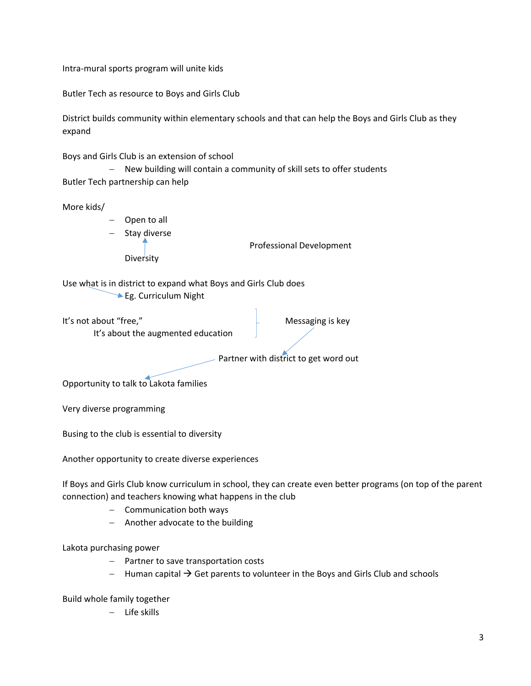Intra‐mural sports program will unite kids

Butler Tech as resource to Boys and Girls Club

District builds community within elementary schools and that can help the Boys and Girls Club as they expand

Boys and Girls Club is an extension of school

- New building will contain a community of skill sets to offer students Butler Tech partnership can help

More kids/

- Open to all Stay diverse **Diversity** 

Professional Development

Use what is in district to expand what Boys and Girls Club does Eg. Curriculum Night

It's not about "free," and the same of the Messaging is key It's about the augmented education Partner with district to get word out

Opportunity to talk to Lakota families

Very diverse programming

Busing to the club is essential to diversity

Another opportunity to create diverse experiences

If Boys and Girls Club know curriculum in school, they can create even better programs (on top of the parent connection) and teachers knowing what happens in the club

- Communication both ways
- $-$  Another advocate to the building

Lakota purchasing power

- Partner to save transportation costs
- $-$  Human capital  $\rightarrow$  Get parents to volunteer in the Boys and Girls Club and schools

Build whole family together

 $-$  Life skills